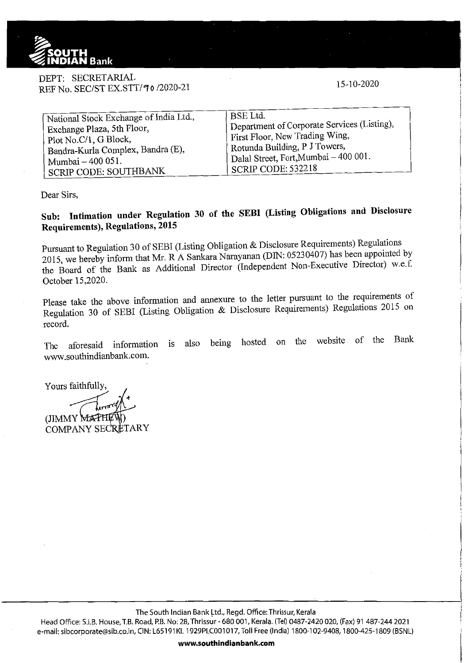

DEPT: SECRETARlAL REF No. SEC/ST EX.STT/70/2020-21

15-10-2020

| National Stock Exchange of India Ltd., | ' BSE Ltd.                                         |
|----------------------------------------|----------------------------------------------------|
| Exchange Plaza, 5th Floor,             | Department of Corporate Services (Listing),        |
| Plot No.C/1, G Block,                  | First Floor, New Trading Wing,                     |
| Bandra-Kurla Complex, Bandra (E),      | Rotunda Building, P J Towers,                      |
| Mumbai - 400 051.                      | <sup>1</sup> Dalal Street, Fort, Mumbai - 400 001. |
| SCRIP CODE: SOUTHBANK                  | 'SCRIP CODE: 532218                                |

Dear Sirs,

## **Sub: Intimation under Regulation 30 of the SEBI (Listing Obligations and Disclosure Requirements), Regulations, 2015**

Pursuant to Regulation 30 of SEBI (Listing Obligation & Disclosure Requirements) Regulations 2015, we hereby inform that Mr. R A Sankara Narayanan (DIN: 05230407) has been appointed by the Board of the Bank as Additional Director (Independent Non-Executive Director) w.e.f. October 15,2020.

Please take the above information and annexure to the letter pursuant to the requirements of Regulation 30 of SEBI (Listing Obligation & Disclosure Requirements) Regulations 2015 on record.

The aforesaid information is also being hosted on the website of the Bank www.southindianbank.com.

Yours faithfully,

(JIMMY MATH COMPANY SECRETARY